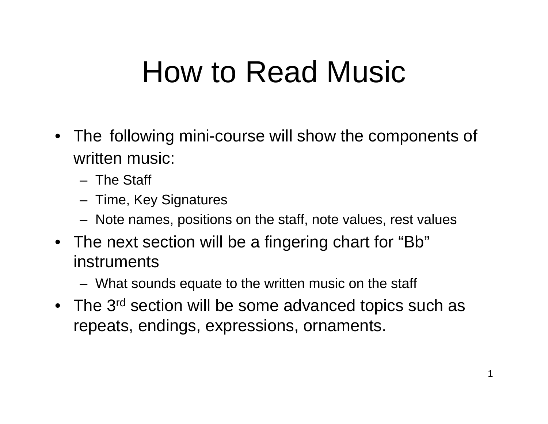### How to Read Music

- The following mini-course will show the components of written music:
	- The Staff
	- Time, Key Signatures
	- Note names, positions on the staff, note values, rest values
- The next section will be a fingering chart for "Bb" instruments
	- What sounds equate to the written music on the staff
- The 3<sup>rd</sup> section will be some advanced topics such as repeats, endings, expressions, ornaments.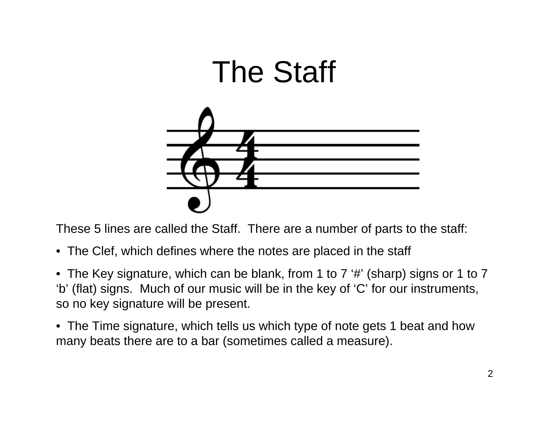

These 5 lines are called the Staff. There are a number of parts to the staff:

- The Clef, which defines where the notes are placed in the staff
- The Key signature, which can be blank, from 1 to 7 '#' (sharp) signs or 1 to 7 'b' (flat) signs. Much of our music will be in the key of 'C' for our instruments, so no key signature will be present.
- The Time signature, which tells us which type of note gets 1 beat and how many beats there are to a bar (sometimes called a measure).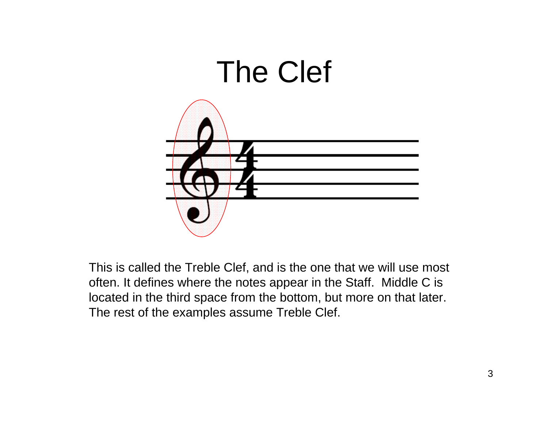

This is called the Treble Clef, and is the one that we will use most often. It defines where the notes appear in the Staff. Middle C is located in the third space from the bottom, but more on that later. The rest of the examples assume Treble Clef.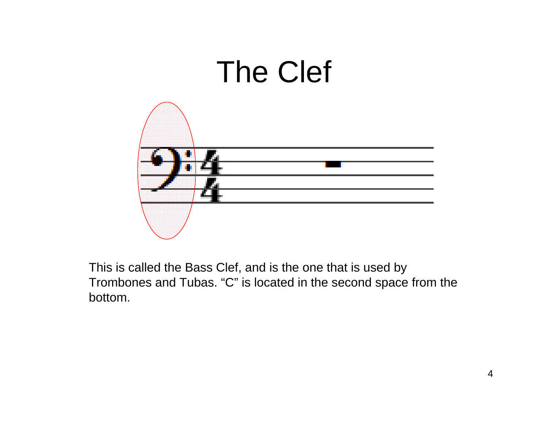

This is called the Bass Clef, and is the one that is used by Trombones and Tubas. "C" is located in the second space from the bottom.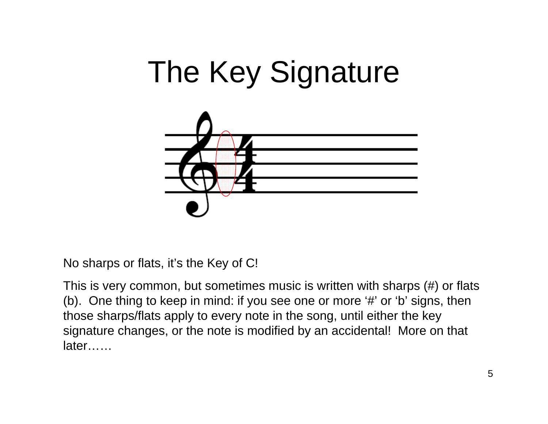



No sharps or flats, it's the Key of C!

This is very common, but sometimes music is written with sharps (#) or flats (b). One thing to keep in mind: if you see one or more '#' or 'b' signs, then those sharps/flats apply to every note in the song, until either the key signature changes, or the note is modified by an accidental! More on that later……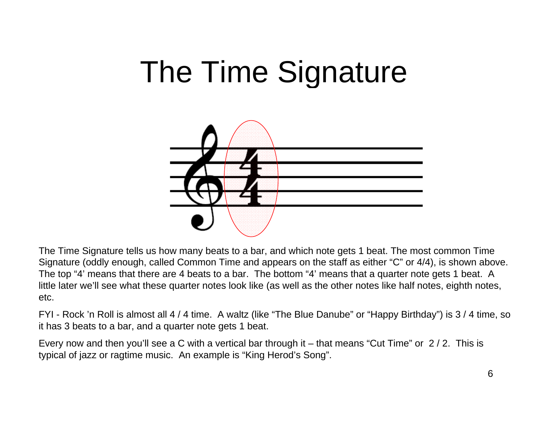### The Time Signature



The Time Signature tells us how many beats to a bar, and which note gets 1 beat. The most common Time Signature (oddly enough, called Common Time and appears on the staff as either "C" or 4/4), is shown above. The top "4' means that there are 4 beats to a bar. The bottom "4' means that a quarter note gets 1 beat. A little later we'll see what these quarter notes look like (as well as the other notes like half notes, eighth notes, etc.

FYI - Rock 'n Roll is almost all 4 / 4 time. A waltz (like "The Blue Danube" or "Happy Birthday") is 3 / 4 time, so it has 3 beats to a bar, and a quarter note gets 1 beat.

Every now and then you'll see a C with a vertical bar through it – that means "Cut Time" or 2 / 2. This is typical of jazz or ragtime music. An example is "King Herod's Song".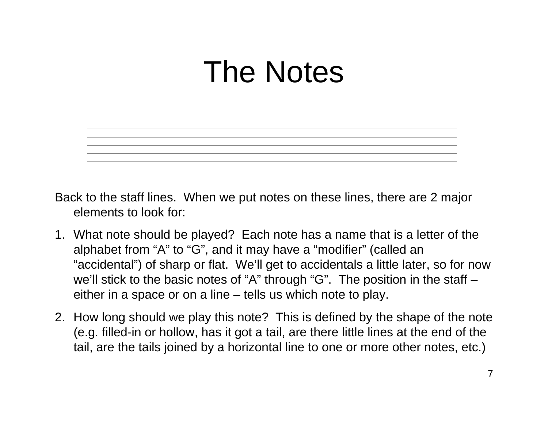### The Notes



- Back to the staff lines. When we put notes on these lines, there are 2 major elements to look for:
- 1. What note should be played? Each note has a name that is a letter of the alphabet from "A" to "G", and it may have a "modifier" (called an "accidental") of sharp or flat. We'll get to accidentals a little later, so for now we'll stick to the basic notes of "A" through "G". The position in the staff – either in a space or on a line – tells us which note to play.
- 2. How long should we play this note? This is defined by the shape of the note (e.g. filled-in or hollow, has it got a tail, are there little lines at the end of the tail, are the tails joined by a horizontal line to one or more other notes, etc.)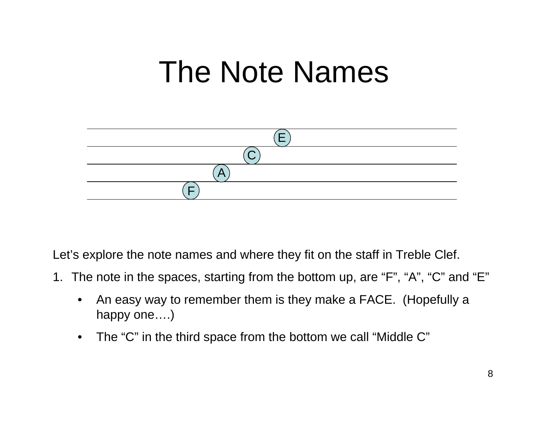### The Note Names



Let's explore the note names and where they fit on the staff in Treble Clef.

- 1. The note in the spaces, starting from the bottom up, are "F", "A", "C" and "E"
	- $\bullet$  An easy way to remember them is they make a FACE. (Hopefully a happy one....)
	- $\bullet$ The "C" in the third space from the bottom we call "Middle C"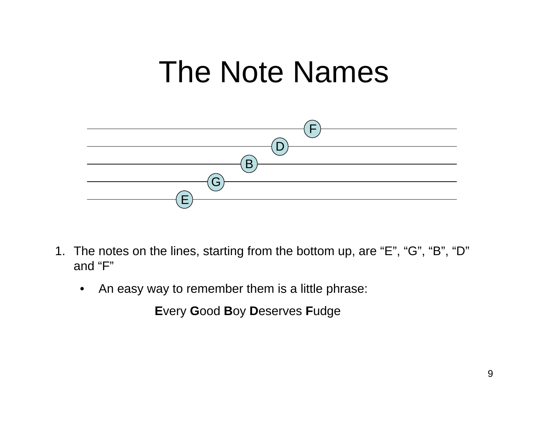### The Note Names



- 1. The notes on the lines, starting from the bottom up, are "E", "G", "B", "D" and "F"
	- $\bullet$ An easy way to remember them is a little phrase:

**E**very **G**ood **B**oy **D**eserves **F**udge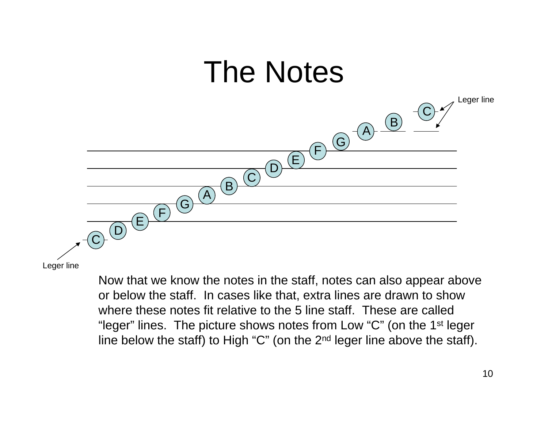

Leger line

Now that we know the notes in the staff, notes can also appear above or below the staff. In cases like that, extra lines are drawn to show where these notes fit relative to the 5 line staff. These are called "leger" lines. The picture shows notes from Low "C" (on the 1<sup>st</sup> leger line below the staff) to High "C" (on the  $2<sup>nd</sup>$  leger line above the staff).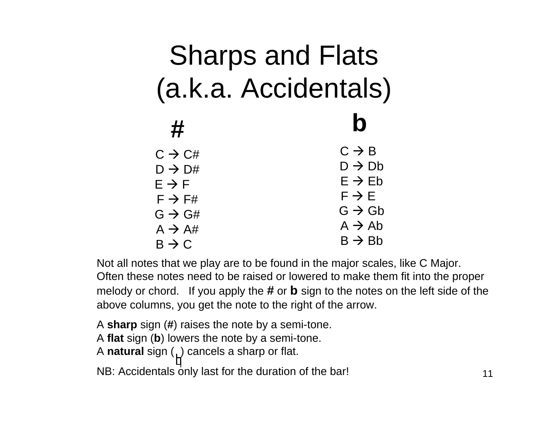#### Sharps and Flats (a.k.a. Accidentals) **#b** $\text{C}\rightarrow \text{C}\text{\#}$  $\textsf{D}\to\textsf{D}\#$  $\mathsf{E}\to\mathsf{F}$  $\mathsf{F}\to\mathsf{F}\#$  $\mathsf{G}\rightarrow \mathsf{G}\#$ A  $\rightarrow$  A#  $\mathsf{B}\to\mathsf{C}$  $C \to B$  $\textsf{D}\to\textsf{D}\textsf{b}$  $\mathsf{E}\rightarrow\mathsf{E}\mathsf{b}$  $\mathsf{F}\rightarrow\mathsf{E}$  $\mathsf{G}\rightarrow\mathsf{G}\mathsf{b}$ A  $\rightarrow$  Ab  $\mathsf{B}\rightarrow\mathsf{B}\mathsf{b}$

Not all notes that we play are to be found in the major scales, like C Major. Often these notes need to be raised or lowered to make them fit into the proper melody or chord. If you apply the **#** or **b** sign to the notes on the left side of the above columns, you get the note to the right of the arrow.

A **sharp** sign ( **#**) raises the note by a semi-tone. A **flat** sign ( **b**) lowers the note by a semi-tone. A **natural** sign  $\left(\begin{array}{c} 1 \end{array}\right)$  cancels a sharp or flat. NB: Accidentals only last for the duration of the bar!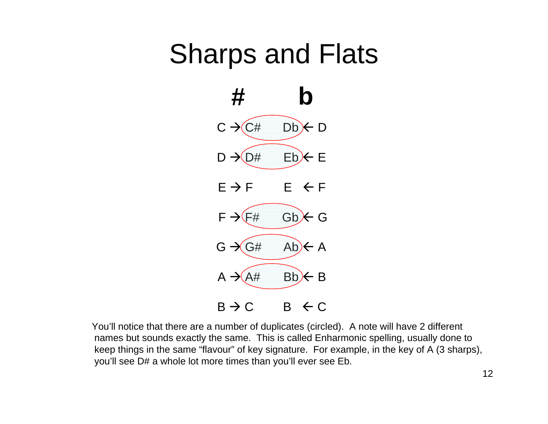### Sharps and Flats



You'll notice that there are a number of duplicates (circled). A note will have 2 different names but sounds exactly the same. This is called Enharmonic spelling, usually done to keep things in the same "flavour" of key signature. For example, in the key of A (3 sharps), you'll see D# a whole lot more times than you'll ever see Eb.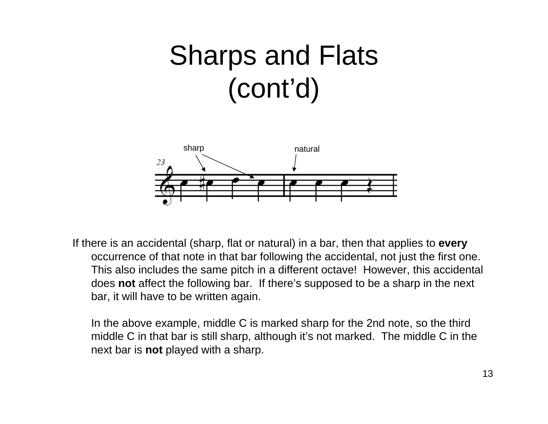### Sharps and Flats (cont'd)



If there is an accidental (sharp, flat or natural) in a bar, then that applies to **every**  occurrence of that note in that bar following the accidental, not just the first one. This also includes the same pitch in a different octave! However, this accidental does **not** affect the following bar. If there's supposed to be a sharp in the next bar, it will have to be written again.

In the above example, middle C is marked sharp for the 2nd note, so the third middle C in that bar is still sharp, although it's not marked. The middle C in the next bar is **not** played with a sharp.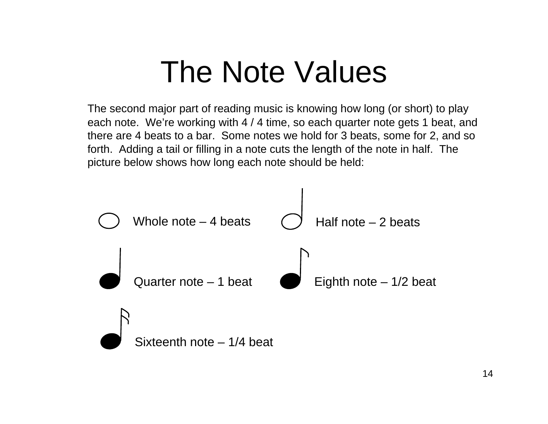### The Note Values

The second major part of reading music is knowing how long (or short) to play each note. We're working with 4 / 4 time, so each quarter note gets 1 beat, and there are 4 beats to a bar. Some notes we hold for 3 beats, some for 2, and so forth. Adding a tail or filling in a note cuts the length of the note in half. The picture below shows how long each note should be held:

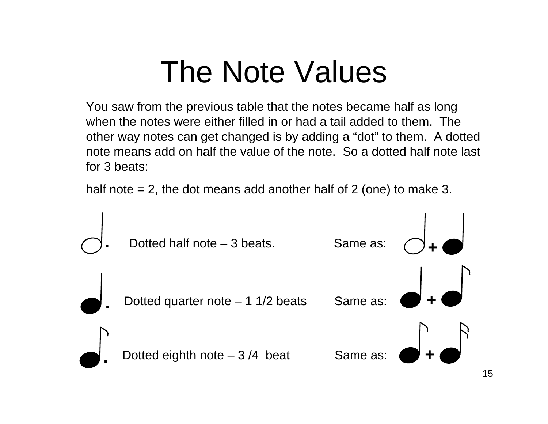### The Note Values

You saw from the previous table that the notes became half as long when the notes were either filled in or had a tail added to them. The other way notes can get changed is by adding a "dot" to them. A dotted note means add on half the value of the note. So a dotted half note last for 3 beats:

half note  $= 2$ , the dot means add another half of 2 (one) to make 3.

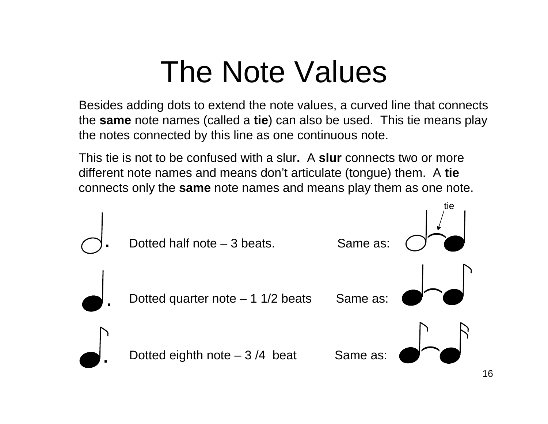### The Note Values

Besides adding dots to extend the note values, a curved line that connects the **same** note names (called a **tie**) can also be used. This tie means play the notes connected by this line as one continuous note.

This tie is not to be confused with a slur**.** A **slur** connects two or more different note names and means don't articulate (tongue) them. A **tie** connects only the **same** note names and means play them as one note.

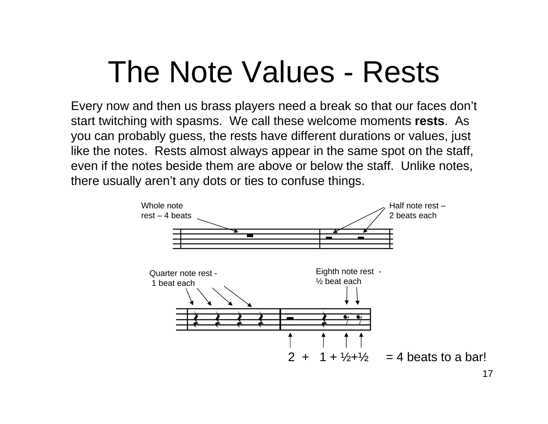### The Note Values - Rests

Every now and then us brass players need a break so that our faces don't start twitching with spasms. We call these welcome moments **rests**. As you can probably guess, the rests have different durations or values, just like the notes. Rests almost always appear in the same spot on the staff, even if the notes beside them are above or below the staff. Unlike notes, there usually aren't any dots or ties to confuse things.

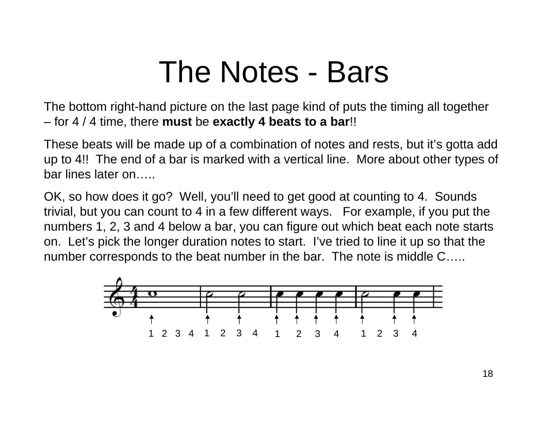### The Notes - Bars

The bottom right-hand picture on the last page kind of puts the timing all together – for 4 / 4 time, there **must** be **exactly 4 beats to a bar**!!

These beats will be made up of a combination of notes and rests, but it's gotta add up to 4!! The end of a bar is marked with a vertical line. More about other types of bar lines later on…..

OK, so how does it go? Well, you'll need to get good at counting to 4. Sounds trivial, but you can count to 4 in a few different ways. For example, if you put the numbers 1, 2, 3 and 4 below a bar, you can figure out which beat each note starts on. Let's pick the longer duration notes to start. I've tried to line it up so that the number corresponds to the beat number in the bar. The note is middle C…..

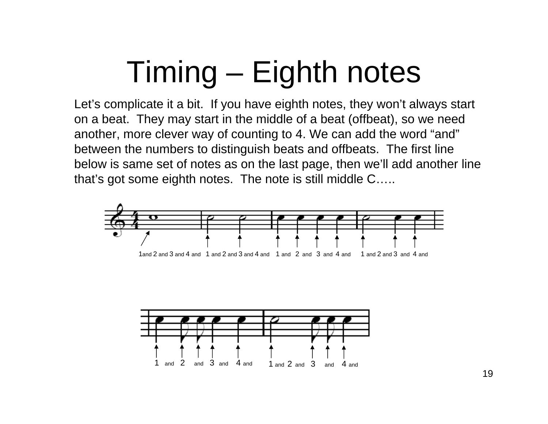# Timing – Eighth notes

Let's complicate it a bit. If you have eighth notes, they won't always start on a beat. They may start in the middle of a beat (offbeat), so we need another, more clever way of counting to 4. We can add the word "and" between the numbers to distinguish beats and offbeats. The first line below is same set of notes as on the last page, then we'll add another line that's got some eighth notes. The note is still middle C…..



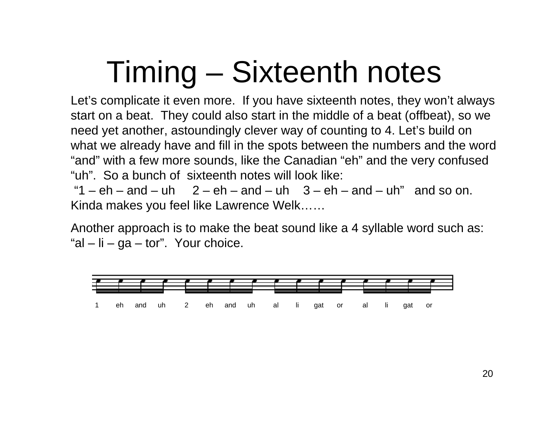## Timing – Sixteenth notes

Let's complicate it even more. If you have sixteenth notes, they won't always start on a beat. They could also start in the middle of a beat (offbeat), so we need yet another, astoundingly clever way of counting to 4. Let's build on what we already have and fill in the spots between the numbers and the word "and" with a few more sounds, like the Canadian "eh" and the very confused "uh". So a bunch of sixteenth notes will look like:

"1 –  $eh$  – and – uh  $2$  –  $eh$  – and – uh  $3$  –  $eh$  – and – uh" and so on. Kinda makes you feel like Lawrence Welk……

Another approach is to make the beat sound like a 4 syllable word such as: "al – li – ga – tor". Your choice.

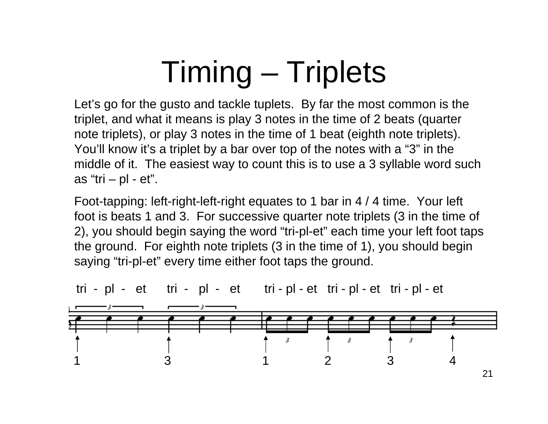## Timing – Triplets

Let's go for the gusto and tackle tuplets. By far the most common is the triplet, and what it means is play 3 notes in the time of 2 beats (quarter note triplets), or play 3 notes in the time of 1 beat (eighth note triplets). You'll know it's a triplet by a bar over top of the notes with a "3" in the middle of it. The easiest way to count this is to use a 3 syllable word such as "tri  $-$  pl  $-$  et".

Foot-tapping: left-right-left-right equates to 1 bar in 4 / 4 time. Your left foot is beats 1 and 3. For successive quarter note triplets (3 in the time of 2), you should begin saying the word "tri-pl-et" each time your left foot taps the ground. For eighth note triplets (3 in the time of 1), you should begin saying "tri-pl-et" every time either foot taps the ground.



tri - pl - et tri - pl - et tri - pl - et tri - pl - et tri - pl - et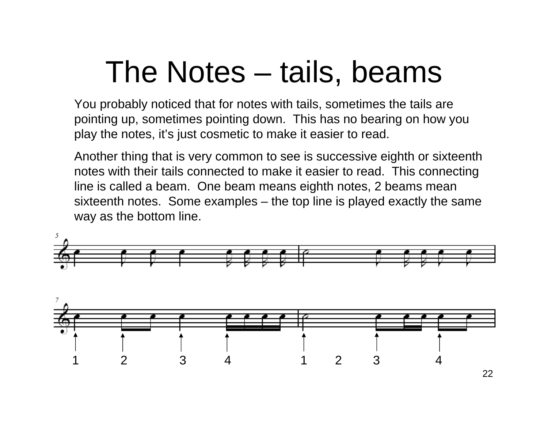### The Notes – tails, beams

You probably noticed that for notes with tails, sometimes the tails are pointing up, sometimes pointing down. This has no bearing on how you play the notes, it's just cosmetic to make it easier to read.

Another thing that is very common to see is successive eighth or sixteenth notes with their tails connected to make it easier to read. This connecting line is called a beam. One beam means eighth notes, 2 beams mean sixteenth notes. Some examples – the top line is played exactly the same way as the bottom line.

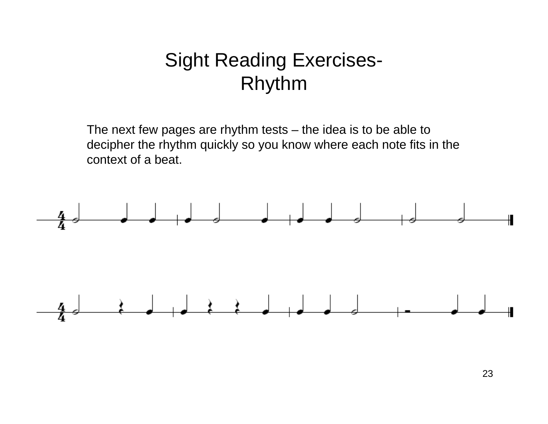#### Sight Reading Exercises-Rhythm

The next few pages are rhythm tests – the idea is to be able to decipher the rhythm quickly so you know where each note fits in the context of a beat.

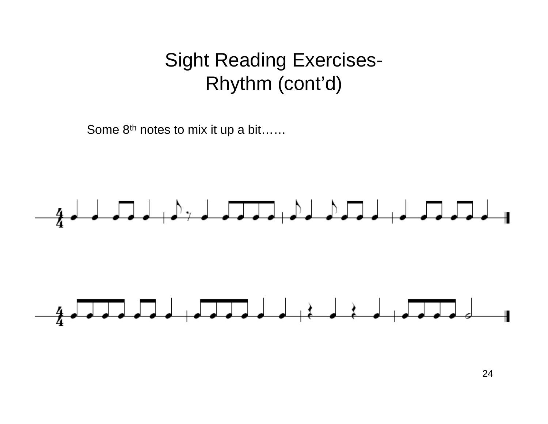#### Sight Reading Exercises-Rhythm (cont'd)

Some 8<sup>th</sup> notes to mix it up a bit……

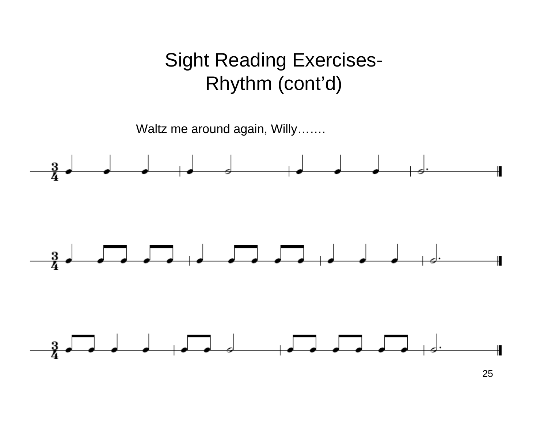#### Sight Reading Exercises-Rhythm (cont'd)



25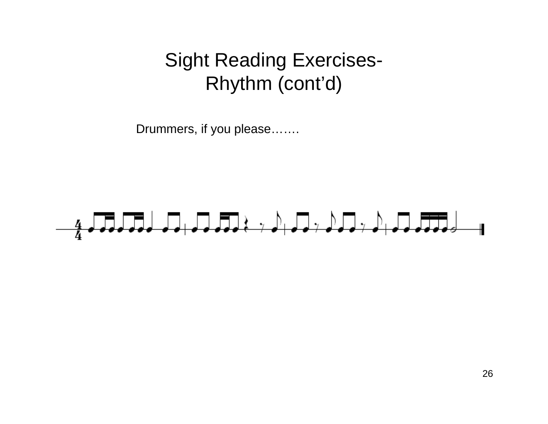#### Sight Reading Exercises-Rhythm (cont'd)

Drummers, if you please…….

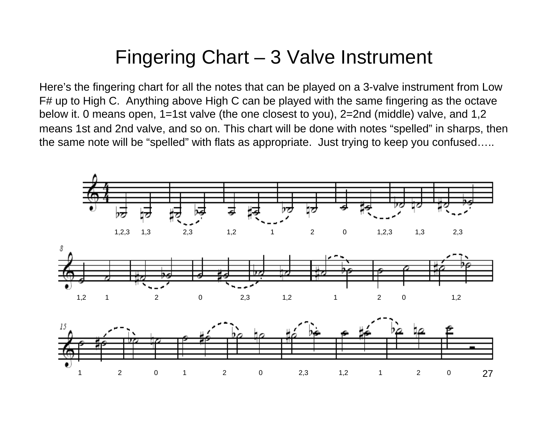#### Fingering Chart – 3 Valve Instrument

Here's the fingering chart for all the notes that can be played on a 3-valve instrument from Low F# up to High C. Anything above High C can be played with the same fingering as the octave below it. 0 means open, 1=1st valve (the one closest to you), 2=2nd (middle) valve, and 1,2 means 1st and 2nd valve, and so on. This chart will be done with notes "spelled" in sharps, then the same note will be "spelled" with flats as appropriate. Just trying to keep you confused…..

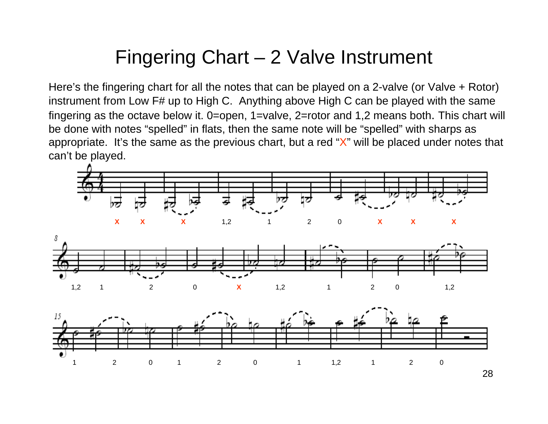#### Fingering Chart – 2 Valve Instrument

Here's the fingering chart for all the notes that can be played on a 2-valve (or Valve + Rotor) instrument from Low F# up to High C. Anything above High C can be played with the same fingering as the octave below it. 0=open, 1=valve, 2=rotor and 1,2 means both. This chart will be done with notes "spelled" in flats, then the same note will be "spelled" with sharps as appropriate. It's the same as the previous chart, but a red "X" will be placed under notes that can't be played.

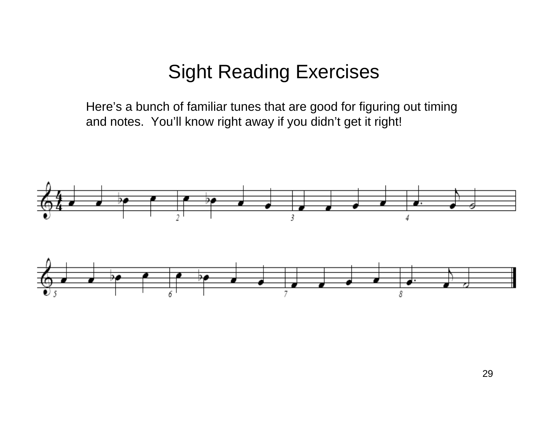#### Sight Reading Exercises

Here's a bunch of familiar tunes that are good for figuring out timing and notes. You'll know right away if you didn't get it right!

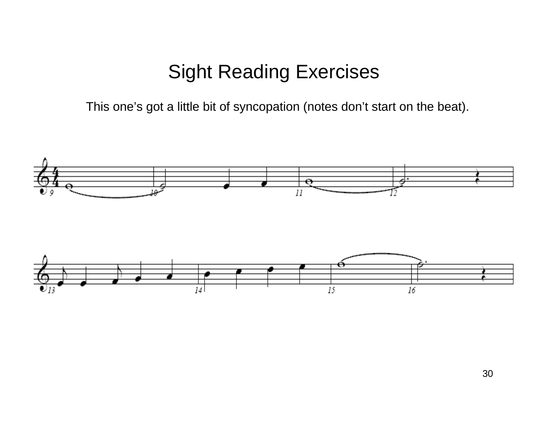#### Sight Reading Exercises

This one's got a little bit of syncopation (notes don't start on the beat).

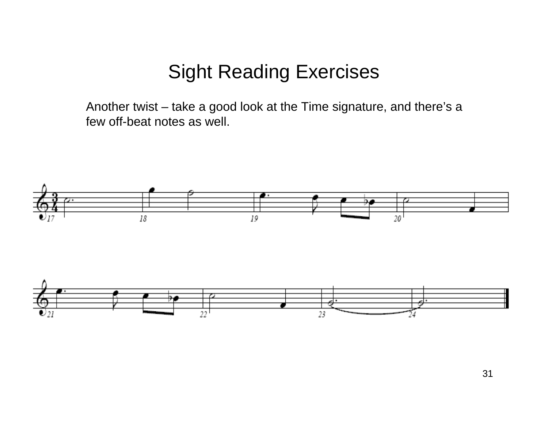#### Sight Reading Exercises

Another twist – take a good look at the Time signature, and there's a few off-beat notes as well.

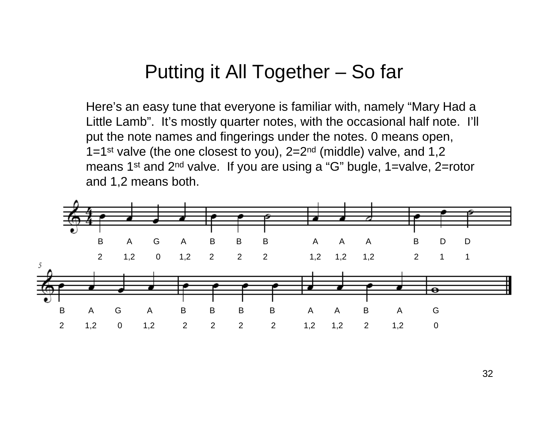#### Putting it All Together – So far

Here's an easy tune that everyone is familiar with, namely "Mary Had a Little Lamb". It's mostly quarter notes, with the occasional half note. I'll put the note names and fingerings under the notes. 0 means open, 1=1<sup>st</sup> valve (the one closest to you),  $2=2^{nd}$  (middle) valve, and 1,2 means 1<sup>st</sup> and 2<sup>nd</sup> valve. If you are using a "G" bugle, 1=valve, 2=rotor and 1,2 means both.

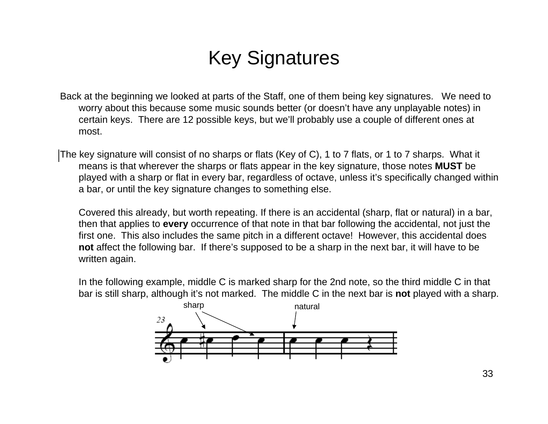### Key Signatures

- Back at the beginning we looked at parts of the Staff, one of them being key signatures. We need to worry about this because some music sounds better (or doesn't have any unplayable notes) in certain keys. There are 12 possible keys, but we'll probably use a couple of different ones at most.
- The key signature will consist of no sharps or flats (Key of C), 1 to 7 flats, or 1 to 7 sharps. What it means is that wherever the sharps or flats appear in the key signature, those notes **MUST** be played with a sharp or flat in every bar, regardless of octave, unless it's specifically changed within a bar, or until the key signature changes to something else.

Covered this already, but worth repeating. If there is an accidental (sharp, flat or natural) in a bar, then that applies to **every** occurrence of that note in that bar following the accidental, not just the first one. This also includes the same pitch in a different octave! However, this accidental does **not** affect the following bar. If there's supposed to be a sharp in the next bar, it will have to be written again.

In the following example, middle C is marked sharp for the 2nd note, so the third middle C in that bar is still sharp, although it's not marked. The middle C in the next bar is **not** played with a sharp.

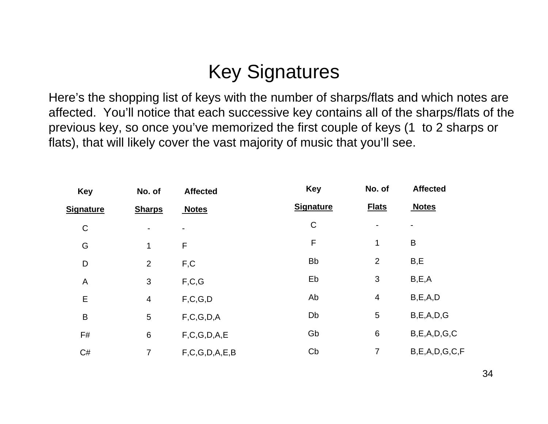### Key Signatures

Here's the shopping list of keys with the number of sharps/flats and which notes are affected. You'll notice that each successive key contains all of the sharps/flats of the previous key, so once you've memorized the first couple of keys (1 to 2 sharps or flats), that will likely cover the vast majority of music that you'll see.

| <b>Key</b>       | No. of                   | <b>Affected</b><br><b>Notes</b> | <b>Key</b>       | No. of         | <b>Affected</b>     |
|------------------|--------------------------|---------------------------------|------------------|----------------|---------------------|
| <u>Signature</u> | <b>Sharps</b>            |                                 | <b>Signature</b> | <b>Flats</b>   | <b>Notes</b>        |
| $\mathsf C$      | $\overline{\phantom{a}}$ |                                 | $\mathsf C$      | $\blacksquare$ |                     |
| G                | 1                        | F                               | F                | 1              | B                   |
| D                | $\overline{2}$           | F,C                             | <b>Bb</b>        | $\overline{2}$ | B,E                 |
| A                | 3                        | F, C, G                         | Eb               | 3              | B, E, A             |
| E                | $\overline{4}$           | F, C, G, D                      | Ab               | $\overline{4}$ | B, E, A, D          |
| $\mathsf B$      | $\sqrt{5}$               | F, C, G, D, A                   | Db               | 5              | B, E, A, D, G       |
| F#               | $\,6$                    | F, C, G, D, A, E                | Gb               | $\,6$          | B, E, A, D, G, C    |
| C#               | 7                        | F, C, G, D, A, E, B             | Cb               | 7              | B, E, A, D, G, C, F |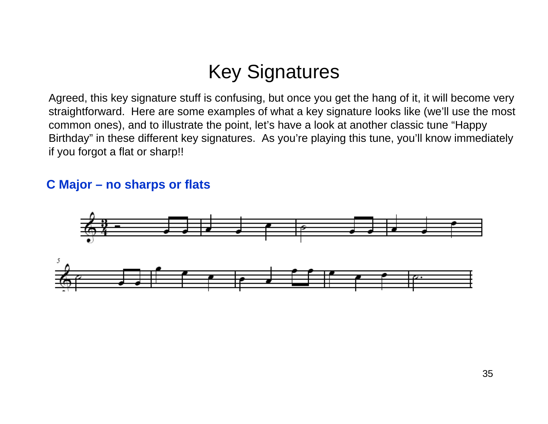#### Key Signatures

Agreed, this key signature stuff is confusing, but once you get the hang of it, it will become very straightforward. Here are some examples of what a key signature looks like (we'll use the most common ones), and to illustrate the point, let's have a look at another classic tune "Happy Birthday" in these different key signatures. As you're playing this tune, you'll know immediately if you forgot a flat or sharp!!

#### **C Major – no sharps or flats**

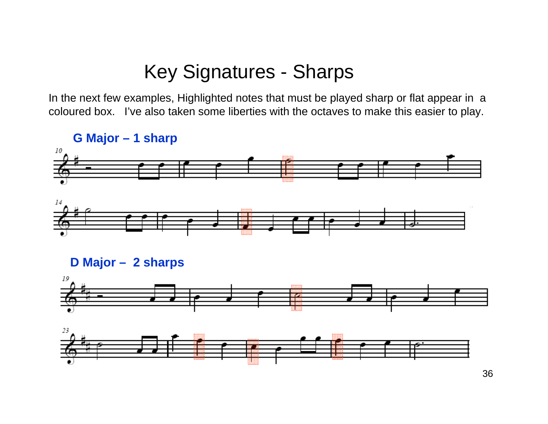#### Key Signatures - Sharps

In the next few examples, Highlighted notes that must be played sharp or flat appear in a coloured box. I've also taken some liberties with the octaves to make this easier to play.





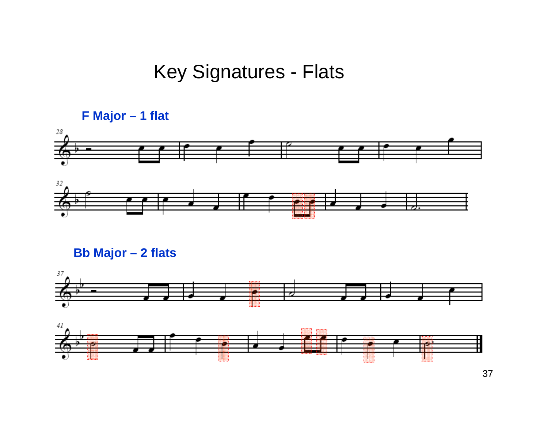#### Key Signatures - Flats









37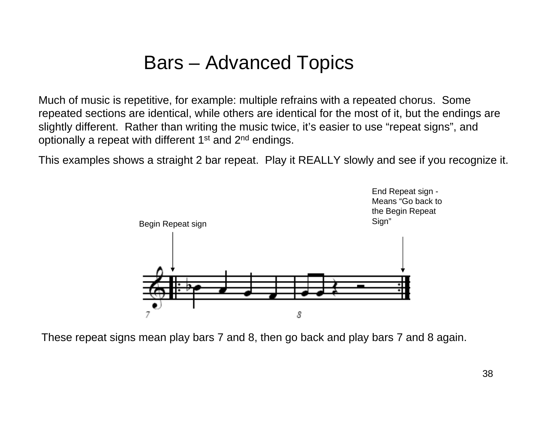#### Bars – Advanced Topics

Much of music is repetitive, for example: multiple refrains with a repeated chorus. Some repeated sections are identical, while others are identical for the most of it, but the endings are slightly different. Rather than writing the music twice, it's easier to use "repeat signs", and optionally a repeat with different 1<sup>st</sup> and 2<sup>nd</sup> endings.

This examples shows a straight 2 bar repeat. Play it REALLY slowly and see if you recognize it.



These repeat signs mean play bars 7 and 8, then go back and play bars 7 and 8 again.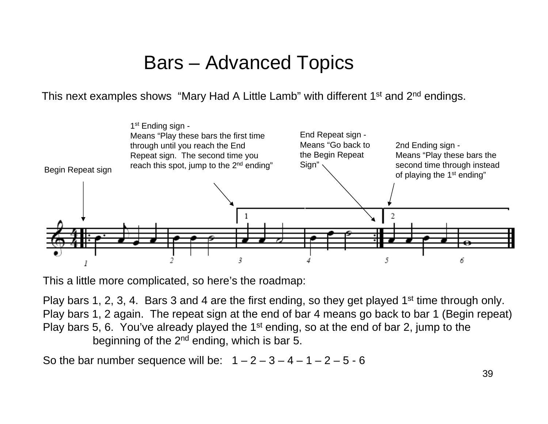#### Bars – Advanced Topics

This next examples shows "Mary Had A Little Lamb" with different 1<sup>st</sup> and 2<sup>nd</sup> endings.



This a little more complicated, so here's the roadmap:

Play bars 1, 2, 3, 4. Bars 3 and 4 are the first ending, so they get played 1<sup>st</sup> time through only. Play bars 1, 2 again. The repeat sign at the end of bar 4 means go back to bar 1 (Begin repeat) Play bars 5, 6. You've already played the 1<sup>st</sup> ending, so at the end of bar 2, jump to the beginning of the  $2^{nd}$  ending, which is bar 5.

So the bar number sequence will be:  $1 - 2 - 3 - 4 - 1 - 2 - 5 - 6$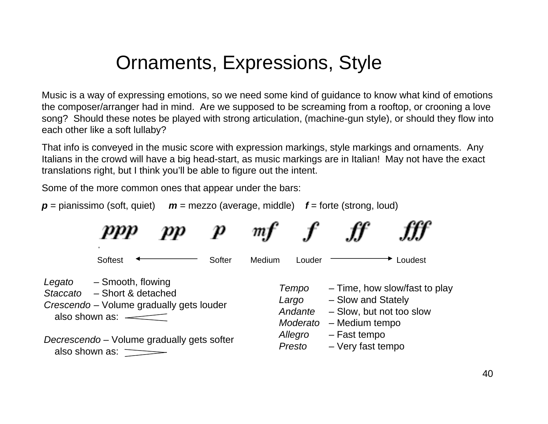#### Ornaments, Expressions, Style

Music is a way of expressing emotions, so we need some kind of guidance to know what kind of emotions the composer/arranger had in mind. Are we supposed to be screaming from a rooftop, or crooning a love song? Should these notes be played with strong articulation, (machine-gun style), or should they flow into each other like a soft lullaby?

That info is conveyed in the music score with expression markings, style markings and ornaments. Any Italians in the crowd will have a big head-start, as music markings are in Italian! May not have the exact translations right, but I think you'll be able to figure out the intent.

Some of the more common ones that appear under the bars:

*p* = pianissimo (soft, quiet) *m* = mezzo (average, middle) *f* = forte (strong, loud)

|                                                                                       | ppp                                                                                                                                     |  |        | т      |                                       |                                                                                                   |         |
|---------------------------------------------------------------------------------------|-----------------------------------------------------------------------------------------------------------------------------------------|--|--------|--------|---------------------------------------|---------------------------------------------------------------------------------------------------|---------|
|                                                                                       | Softest                                                                                                                                 |  | Softer | Medium | Louder                                |                                                                                                   | Loudest |
| Legato                                                                                | - Smooth, flowing<br>Staccato – Short & detached<br>Crescendo - Volume gradually gets louder<br>also shown as: $\overline{\phantom{a}}$ |  |        |        | Tempo<br>Largo<br>Andante<br>Moderato | - Time, how slow/fast to play<br>- Slow and Stately<br>- Slow, but not too slow<br>- Medium tempo |         |
| Decrescendo - Volume gradually gets softer<br>also shown as: $\overline{\phantom{a}}$ |                                                                                                                                         |  |        |        | Allegro<br>Presto                     | - Fast tempo<br>- Very fast tempo                                                                 |         |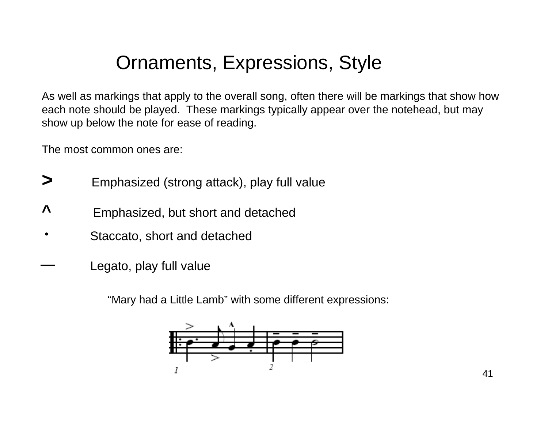#### Ornaments, Expressions, Style

As well as markings that apply to the overall song, often there will be markings that show how each note should be played. These markings typically appear over the notehead, but may show up below the note for ease of reading.

The most common ones are:

- **>**Emphasized (strong attack), play full value
- **^**Emphasized, but short and detached
- Staccato, short and detached
- Legato, play full value

"Mary had a Little Lamb" with some different expressions: